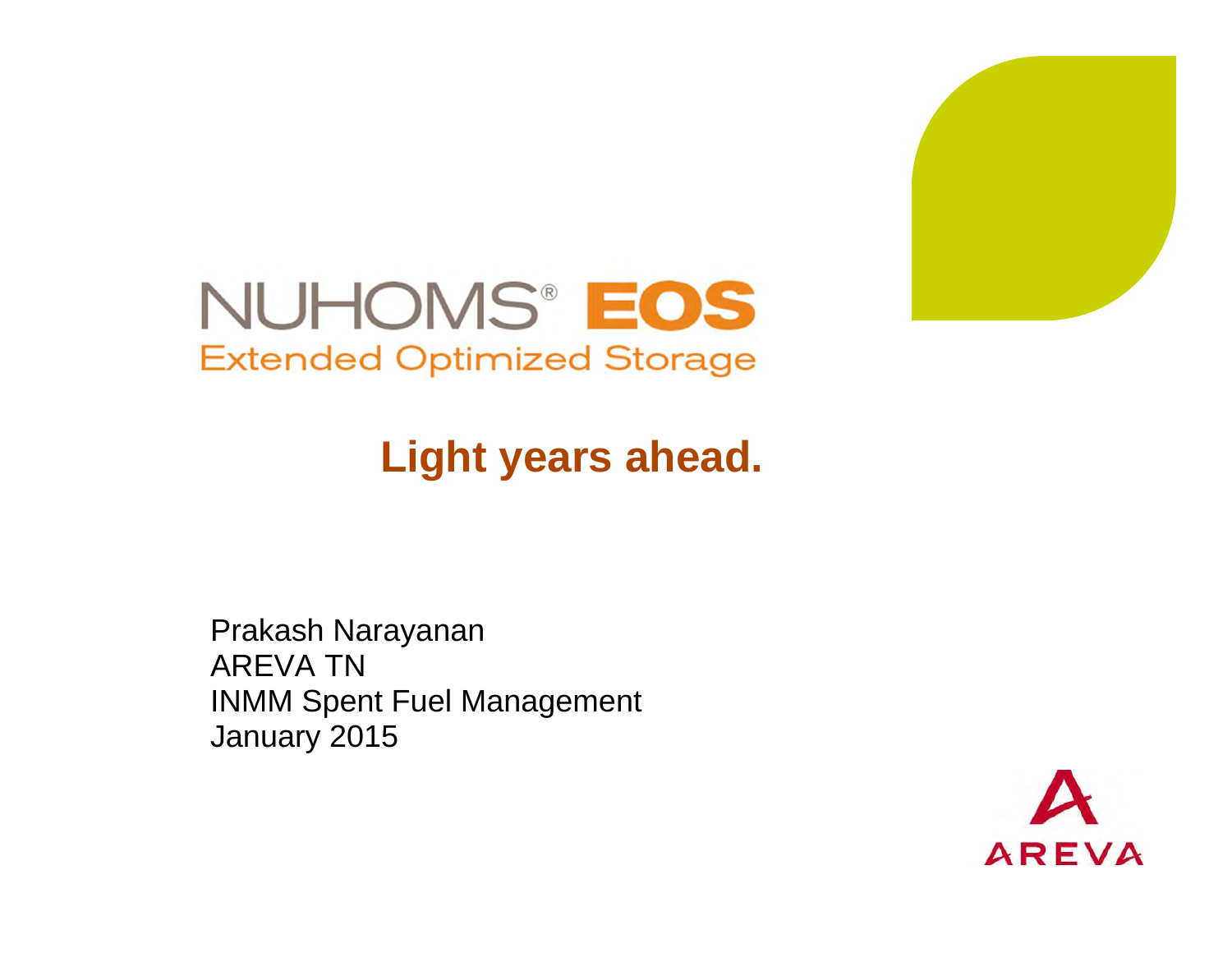



# **Light years ahead.**

Prakash Narayanan AREVA TNINMM Spent Fuel Management January 2015

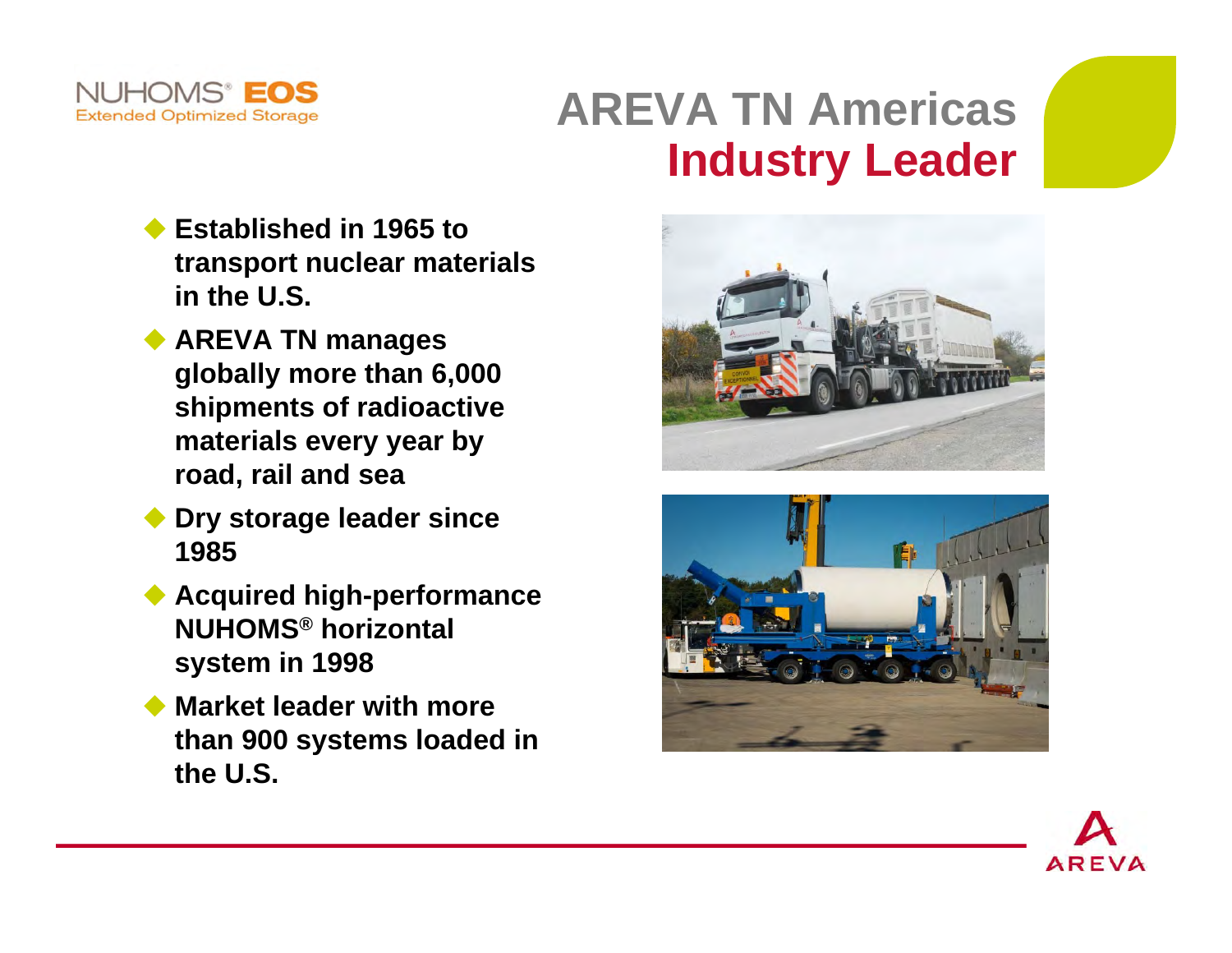

# **AREVA TN AmericasIndustry Leader**

- ◆ Established in 1965 to **transport nuclear materials in the U.S.**
- **AREVA TN manages globally more than 6,000 shipments of radioactive materials every year by road, rail and sea**
- **Dry storage leader since 1985**
- ◆ Acquired high-performance **NUHOMS® horizontal system in 1998**
- ◆ Market leader with more **than 900 systems loaded in the U.S.**





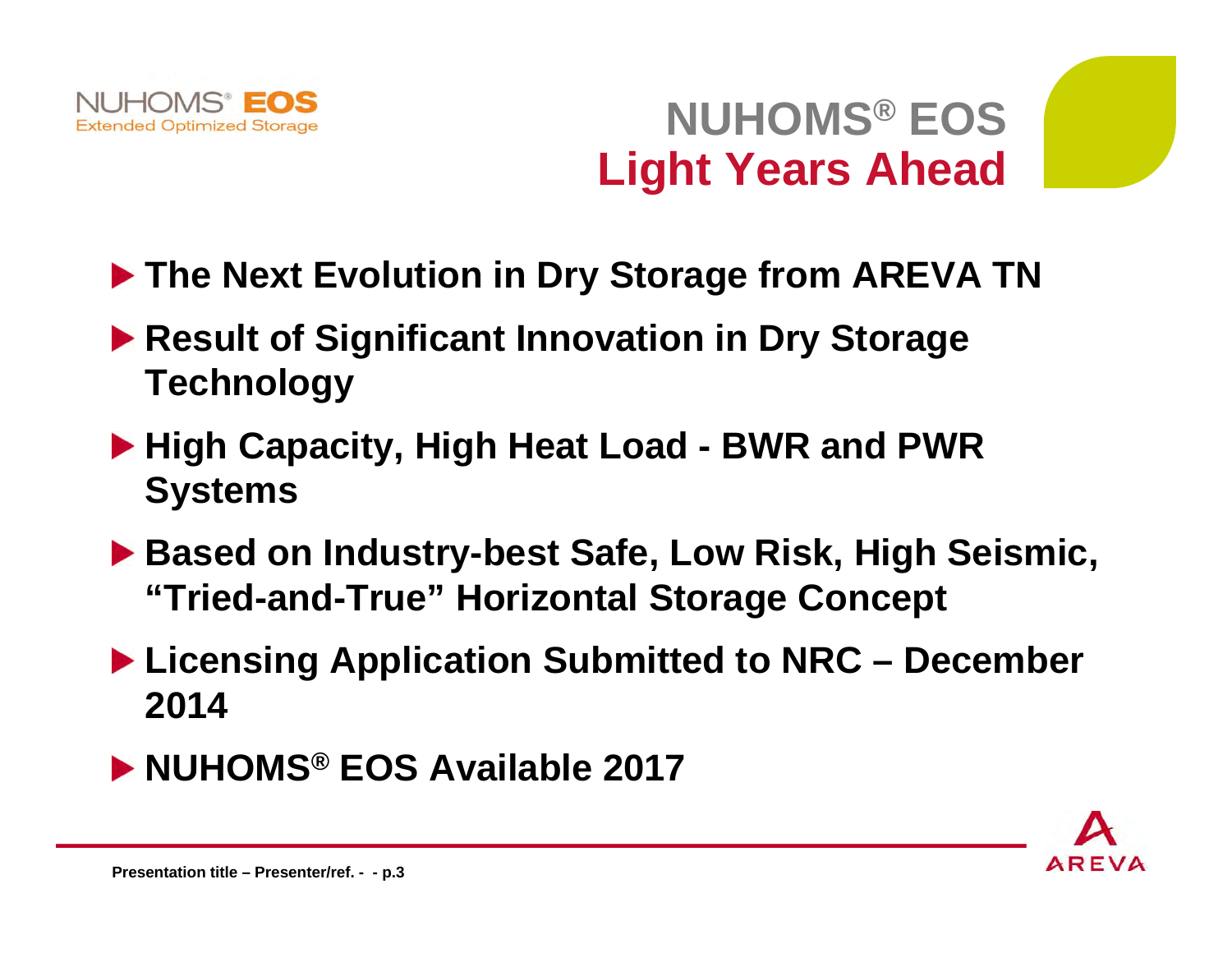



- ▶ The Next Evolution in Dry Storage from **AREVA TN**
- ▶ Result of Significant Innovation in Dry Storage **Technology**
- ▶ High Capacity, High Heat Load BWR and PWR **Systems**
- ▶ Based on Industry-best Safe, Low Risk, High Seismic, **"Tried-and-True" Horizontal Storage Concept**
- ▶ Licensing Application Submitted to NRC December **2014**
- **NUHOMS® EOS Available 2017**

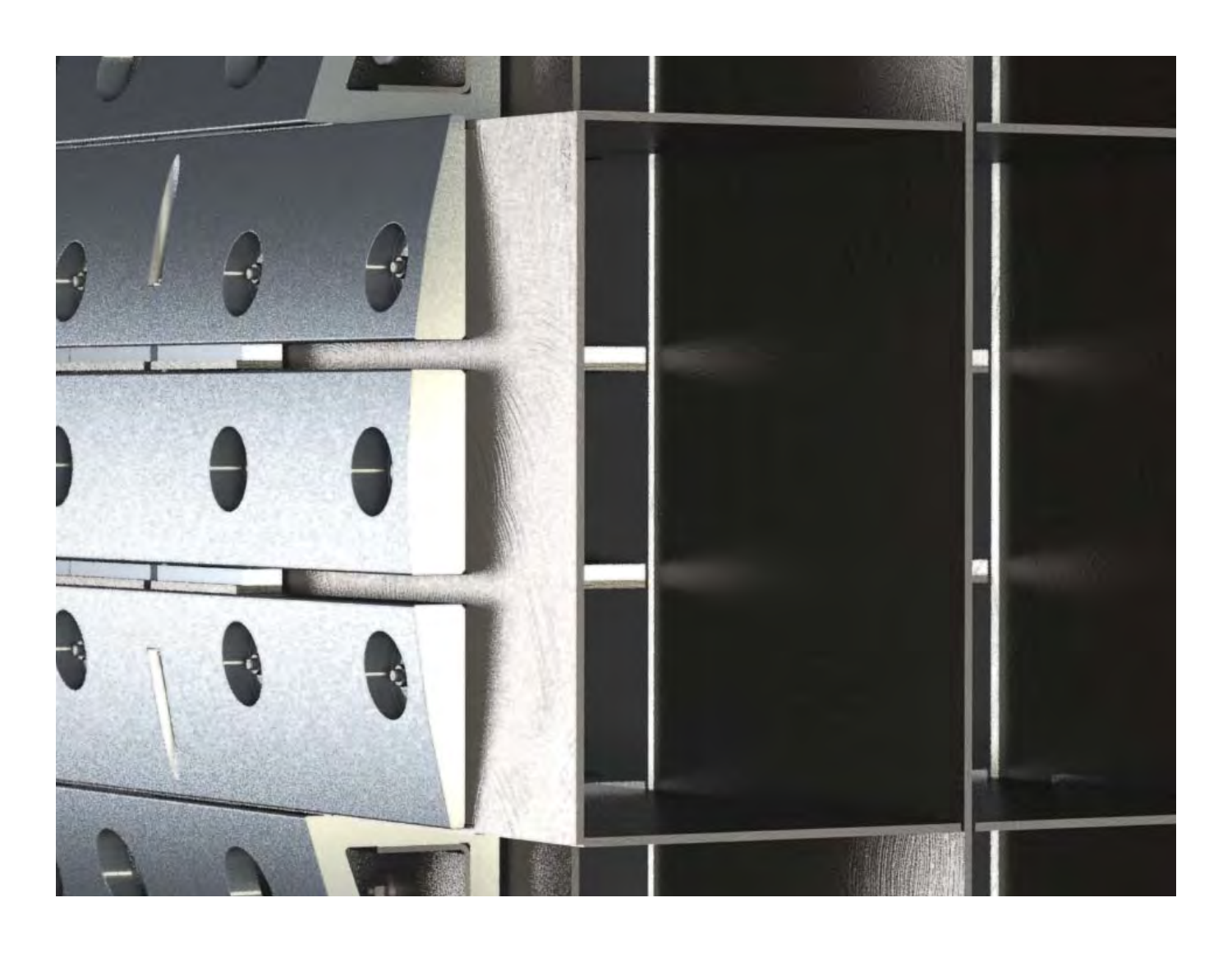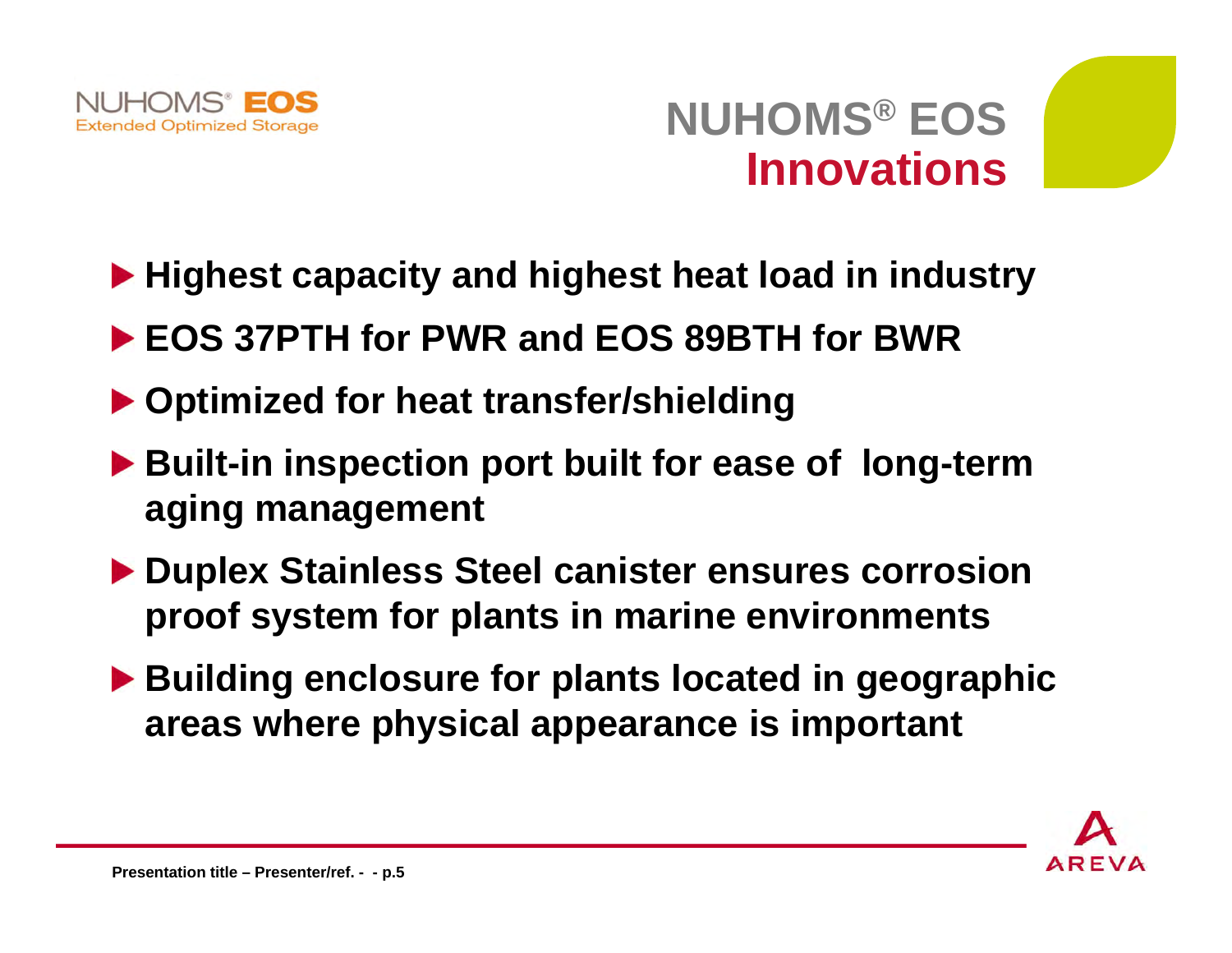



- **Highest capacity and highest heat load in industry**
- **EOS 37PTH for PWR and EOS 89BTH for BWR**
- **Optimized for heat transfer/shielding**
- ▶ Built-in inspection port built for ease of long-term **aging management**
- ▶ Duplex Stainless Steel canister ensures corrosion **proof system for plants in marine environments**
- ▶ Building enclosure for plants located in geographic **areas where physical appearance is important**

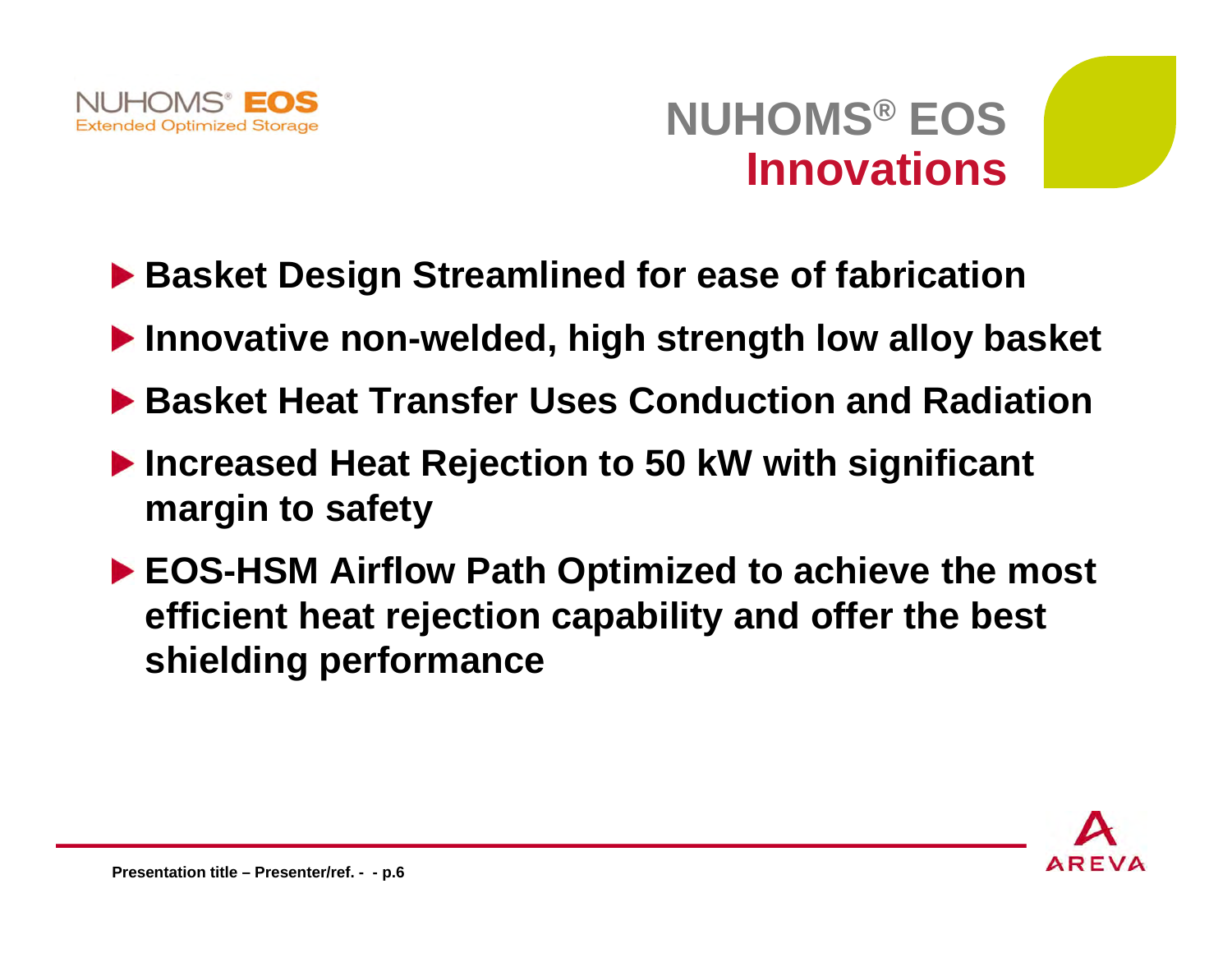



- ▶ Basket Design Streamlined for ease of fabrication
- **Innovative non-welded, high strength low alloy basket**
- **Basket Heat Transfer Uses Conduction and Radiation**
- **Increased Heat Rejection to 50 kW with significant margin to safety**
- **EOS-HSM Airflow Path Optimized to achieve the most efficient heat rejection capability and offer the best shielding performance**

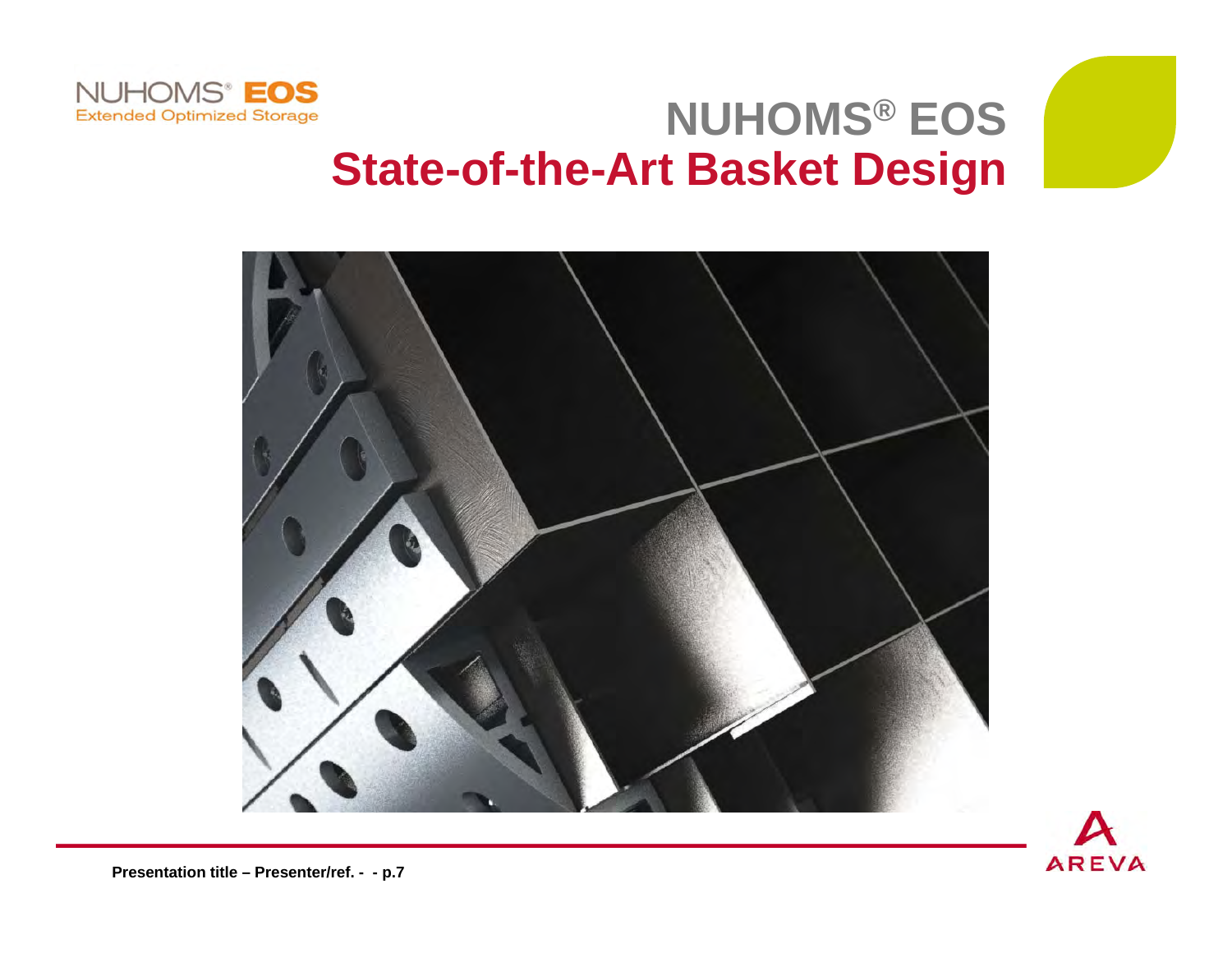

# **NUHOMS® EOS State-of-the-Art Basket Design**



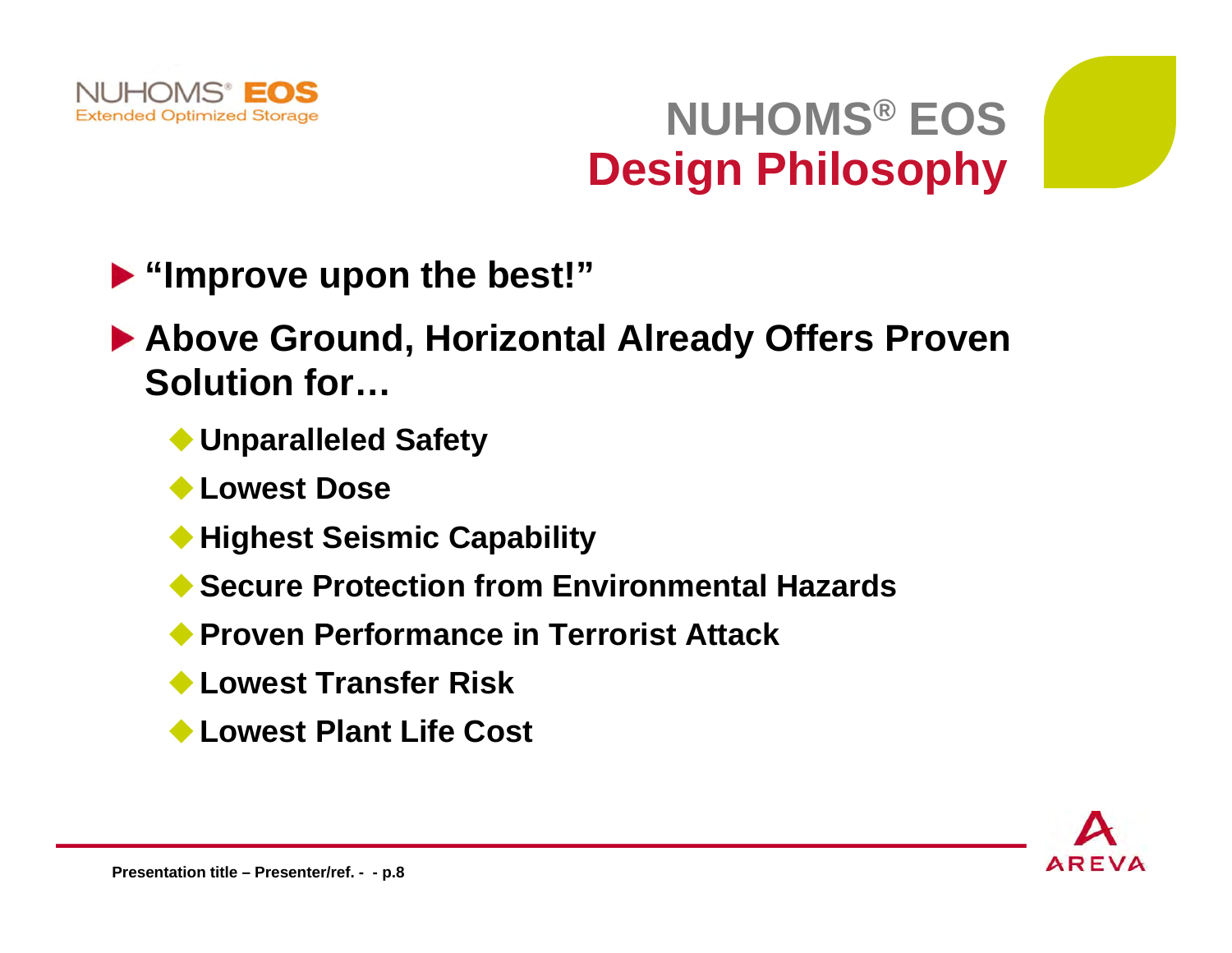

# **NUHOMS® EOS Design Philosophy**

- **"Improve upon the best!"**
- **Above Ground, Horizontal Already Offers Proven Solution for…**
	- **Unparalleled Safety**
	- **Lowest Dose**
	- **Highest Seismic Capability**
	- ◆ Secure Protection from Environmental Hazards
	- **◆ Proven Performance in Terrorist Attack**
	- **Lowest Transfer Risk**
	- **Lowest Plant Life Cost**

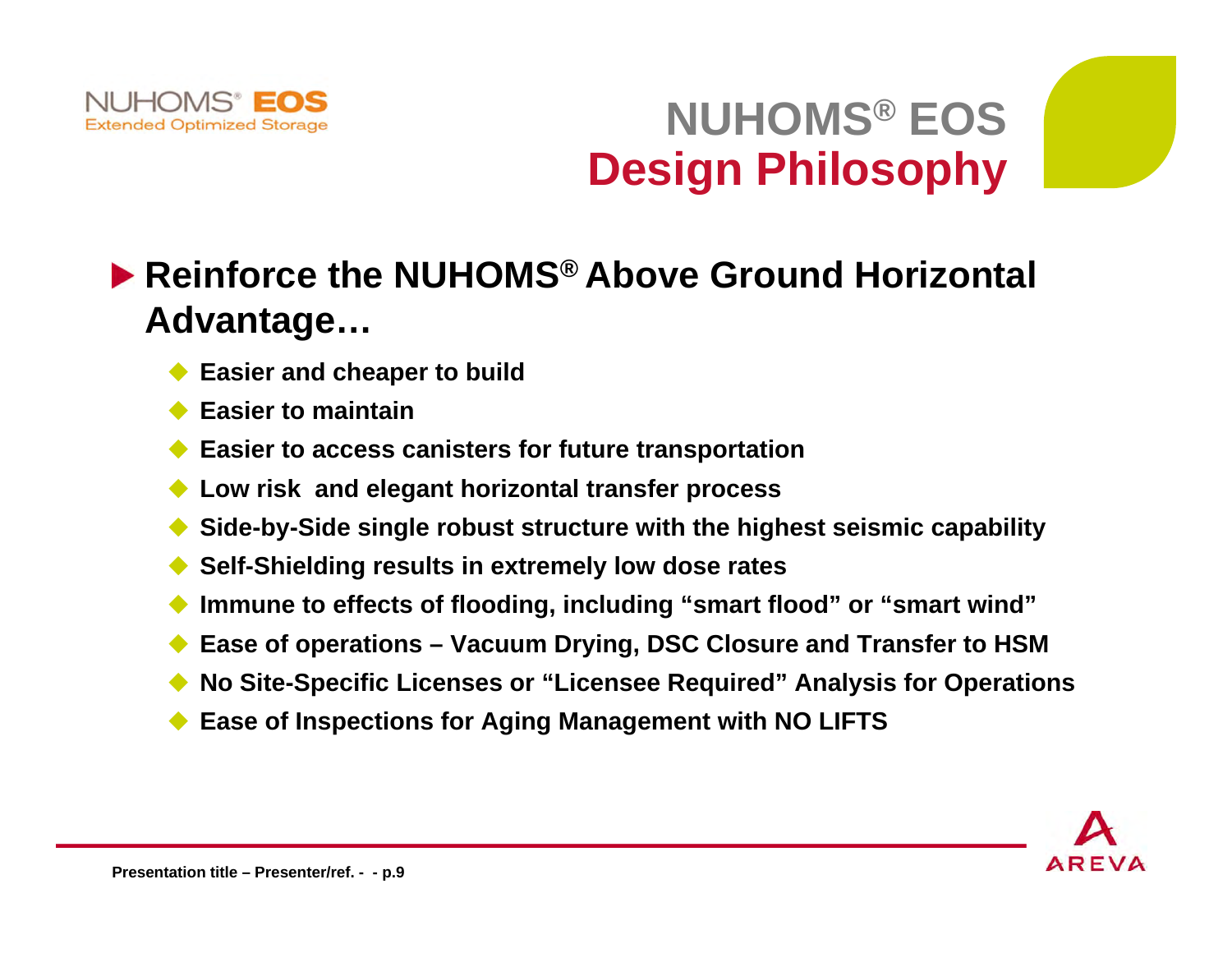

# **NUHOMS® EOS Design Philosophy**

### ▶ Reinforce the NUHOMS<sup>®</sup> Above Ground Horizontal **Advantage…**

- **Easier and cheaper to build**
- **Easier to maintain**
- **Easier to access canisters for future transportation**
- **Low risk and elegant horizontal transfer process**
- $\blacklozenge$ **Side-by-Side single robust structure with the highest seismic capability**
- ♦ **Self-Shielding results in extremely low dose rates**
- $\blacklozenge$ **Immune to effects of flooding, including "smart flood" or "smart wind"**
- ♦ **Ease of operations – Vacuum Drying, DSC Closure and Transfer to HSM**
- ◆ No Site-Specific Licenses or "Licensee Required" Analysis for Operations
- ♦ **Ease of Inspections for Aging Management with NO LIFTS**

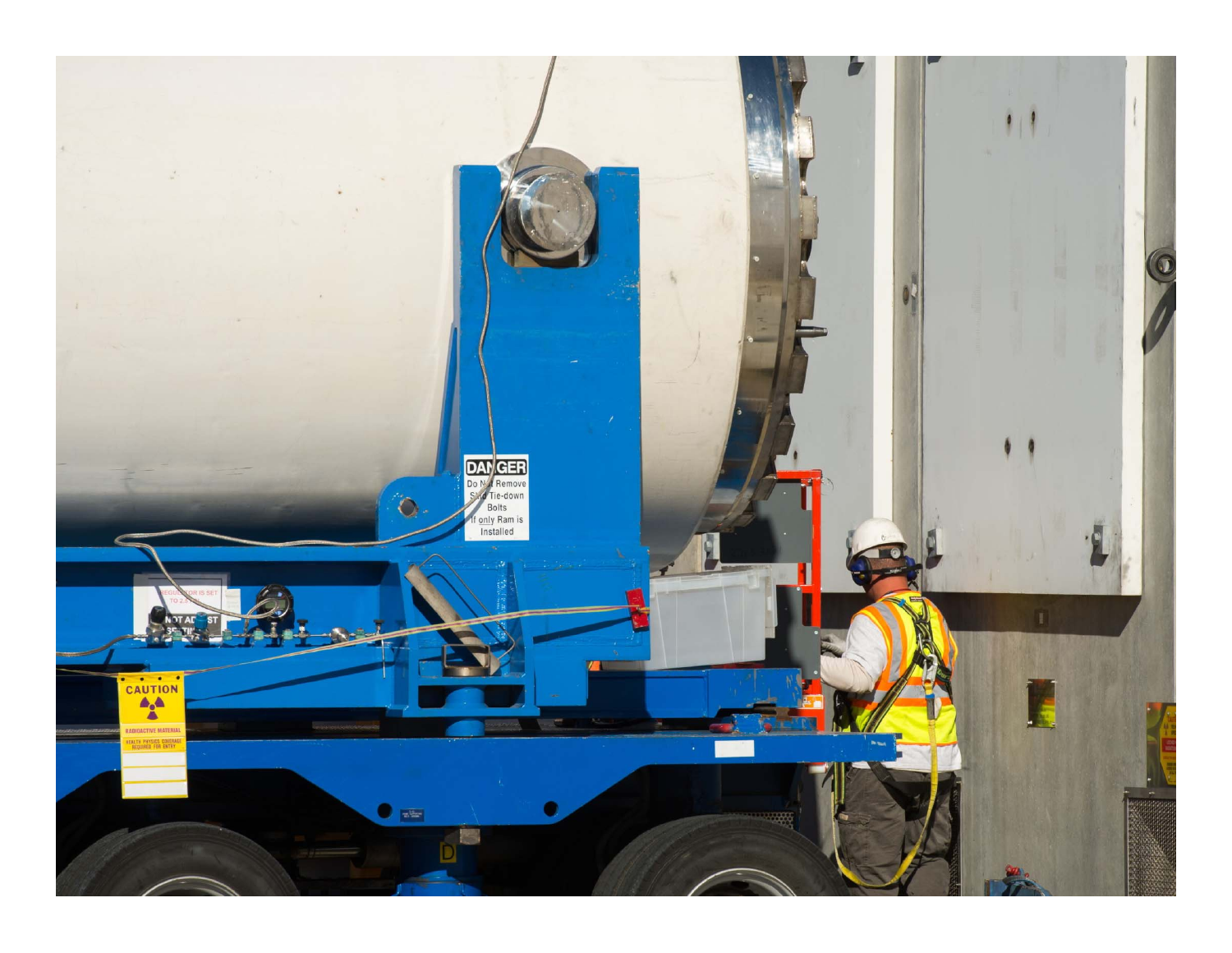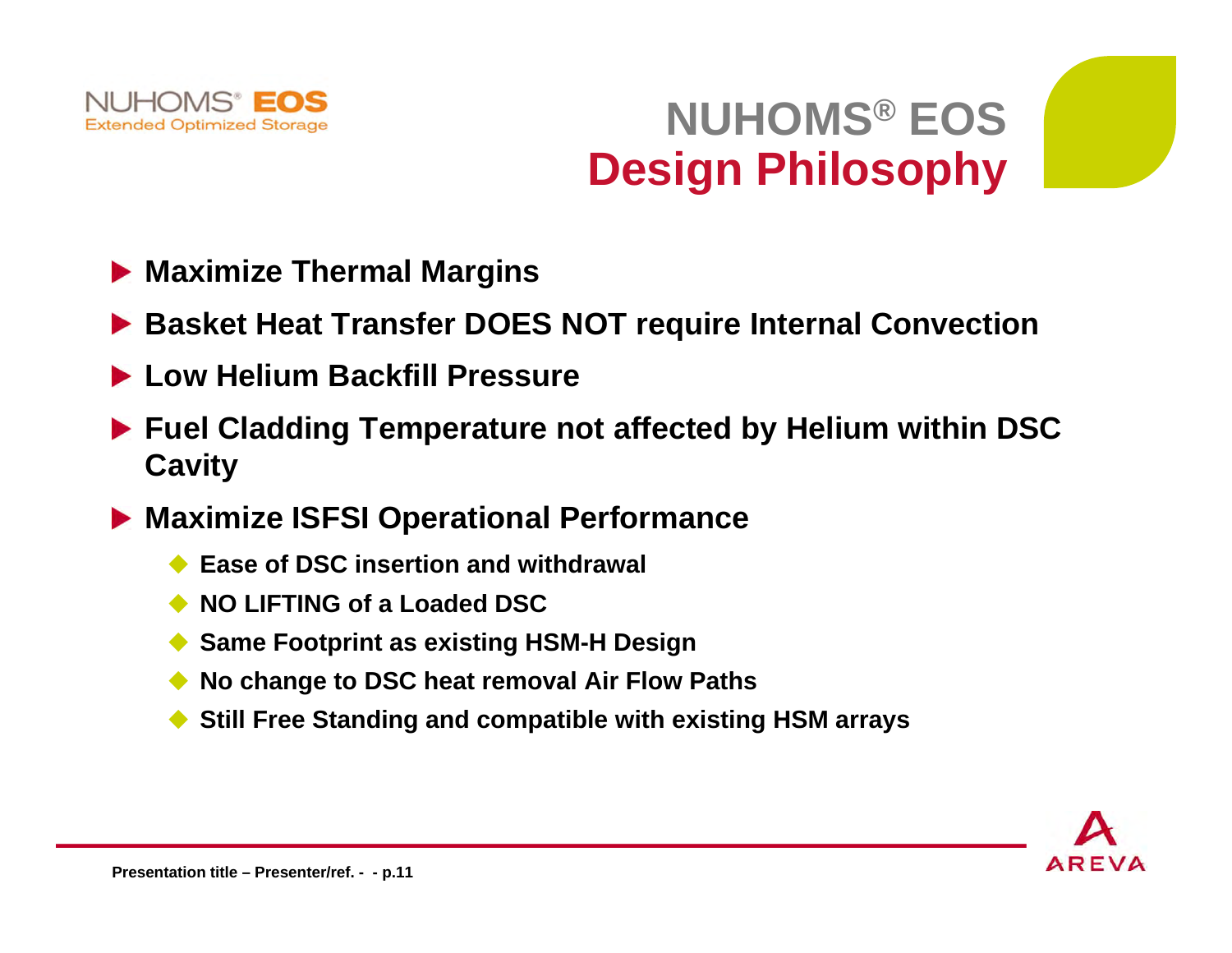

# **NUHOMS® EOS Design Philosophy**

- **Maximize Thermal Margins**
- **Basket Heat Transfer DOES NOT require Internal Convection**
- **Low Helium Backfill Pressure**
- **Fuel Cladding Temperature not affected by Helium within DSC Cavity**
- **Maximize ISFSI Operational Performance**  $\blacktriangleright$ 
	- $\blacklozenge$ **Ease of DSC insertion and withdrawal**
	- ◆ NO LIFTING of a Loaded DSC
	- ◆ Same Footprint as existing HSM-H Design
	- ◆ No change to DSC heat removal Air Flow Paths
	- ♦ **Still Free Standing and compatible with existing HSM arrays**

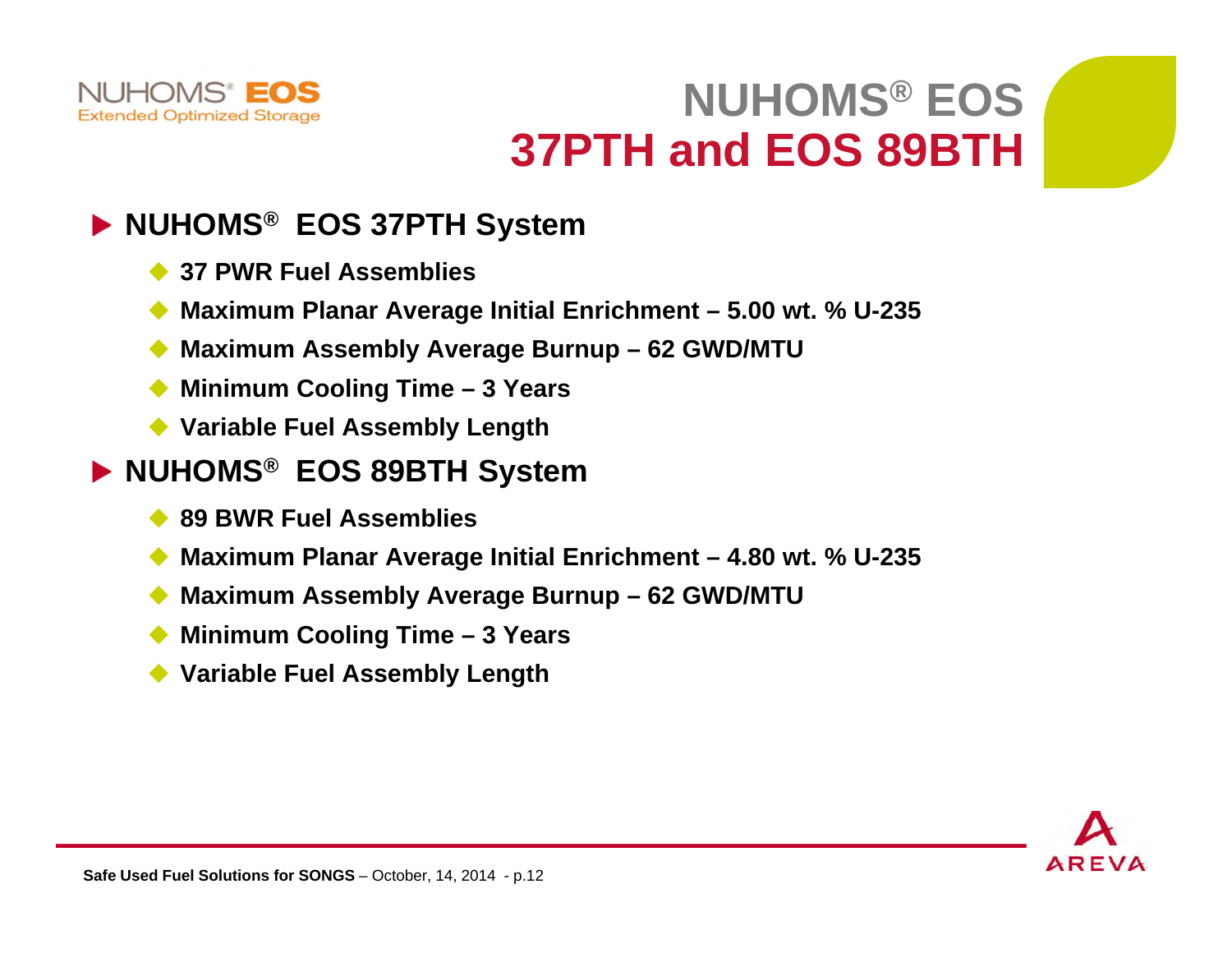

# **NUHOMS® EOS 37PTH and EOS 89BTH**

### **NUHOMS® EOS 37PTH System**

- **37 PWR Fuel Assemblies**
- ♦ **Maximum Planar Average Initial Enrichment – 5.00 wt. % U-235**
- $\blacklozenge$ **Maximum Assembly Average Burnup – 62 GWD/MTU**
- ♦ **Minimum Cooling Time – 3 Years**
- **Variable Fuel Assembly Length**

#### **NUHOMS® EOS 89BTH System**

- ♦ **89 BWR Fuel Assemblies**
- ♦ **Maximum Planar Average Initial Enrichment – 4.80 wt. % U-235**
- ♦ **Maximum Assembly Average Burnup – 62 GWD/MTU**
- $\blacklozenge$ **Minimum Cooling Time – 3 Years**
- **Variable Fuel Assembly Length**

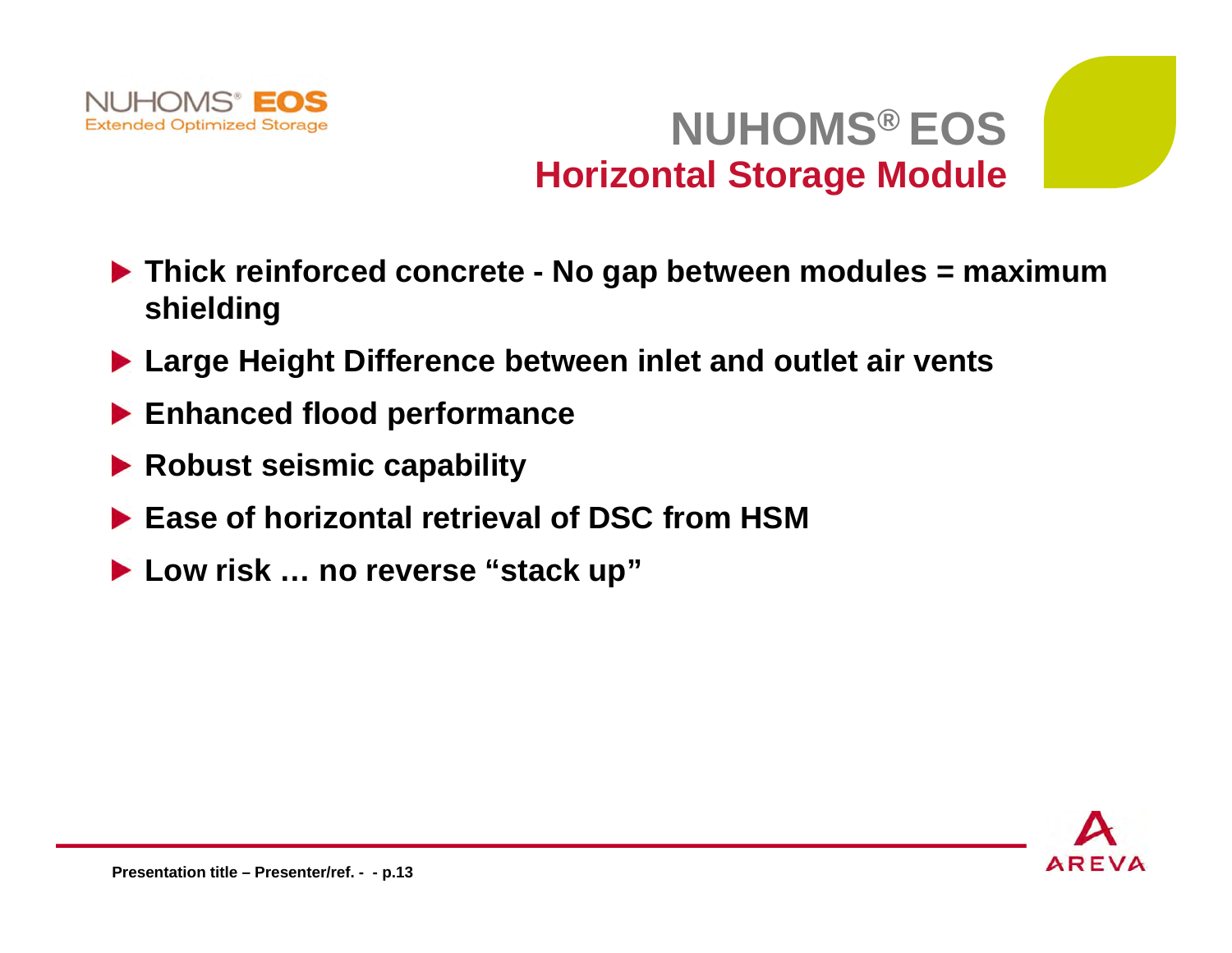

### **NUHOMS® EOS Horizontal Storage Module**

- ▶ Thick reinforced concrete No gap between modules = maximum **shielding**
- **Large Height Difference between inlet and outlet air vents**
- **Enhanced flood performance**
- **Robust seismic capability**  $\blacktriangleright$
- **Ease of horizontal retrieval of DSC from HSM**
- **Low risk … no reverse "stack up"**

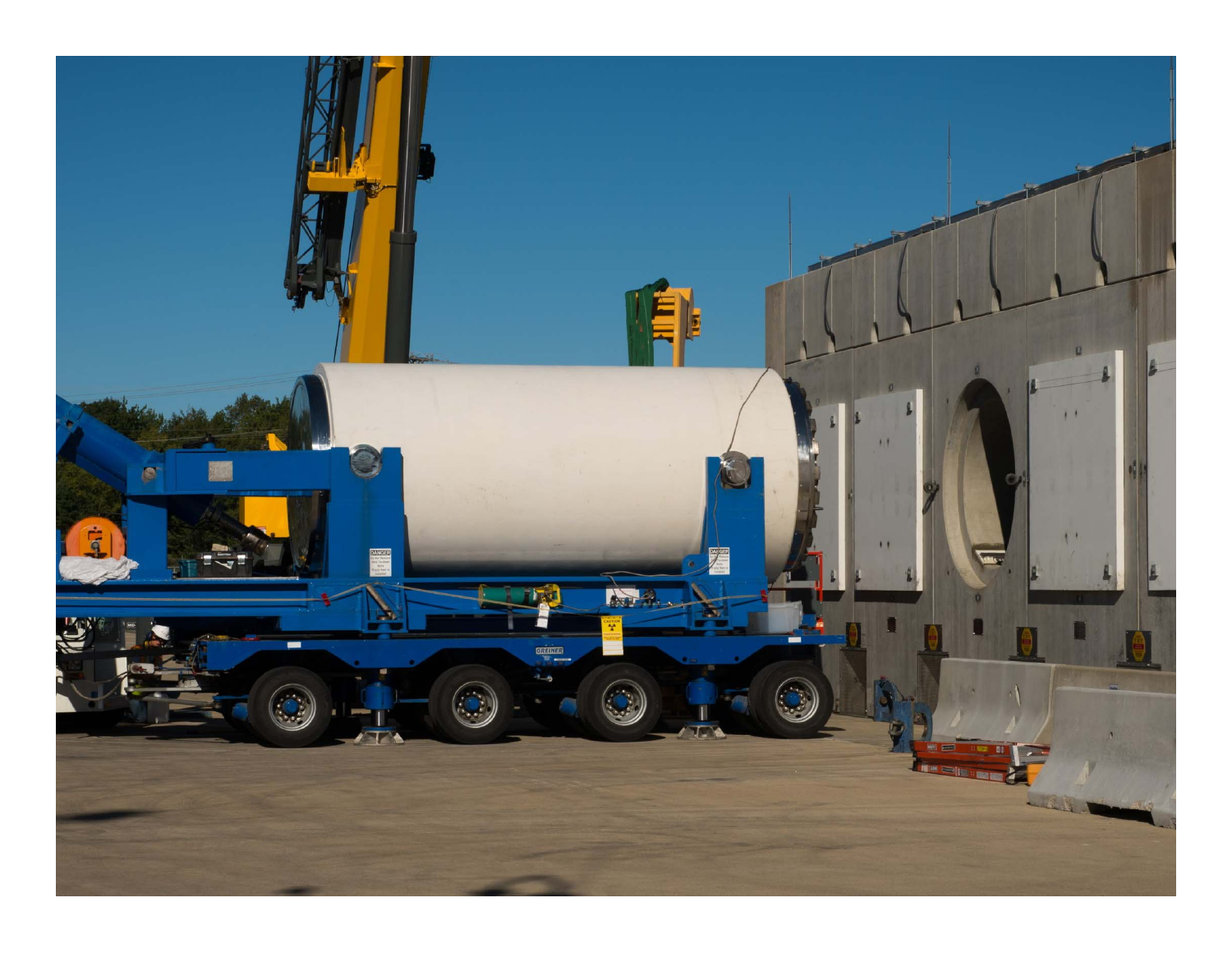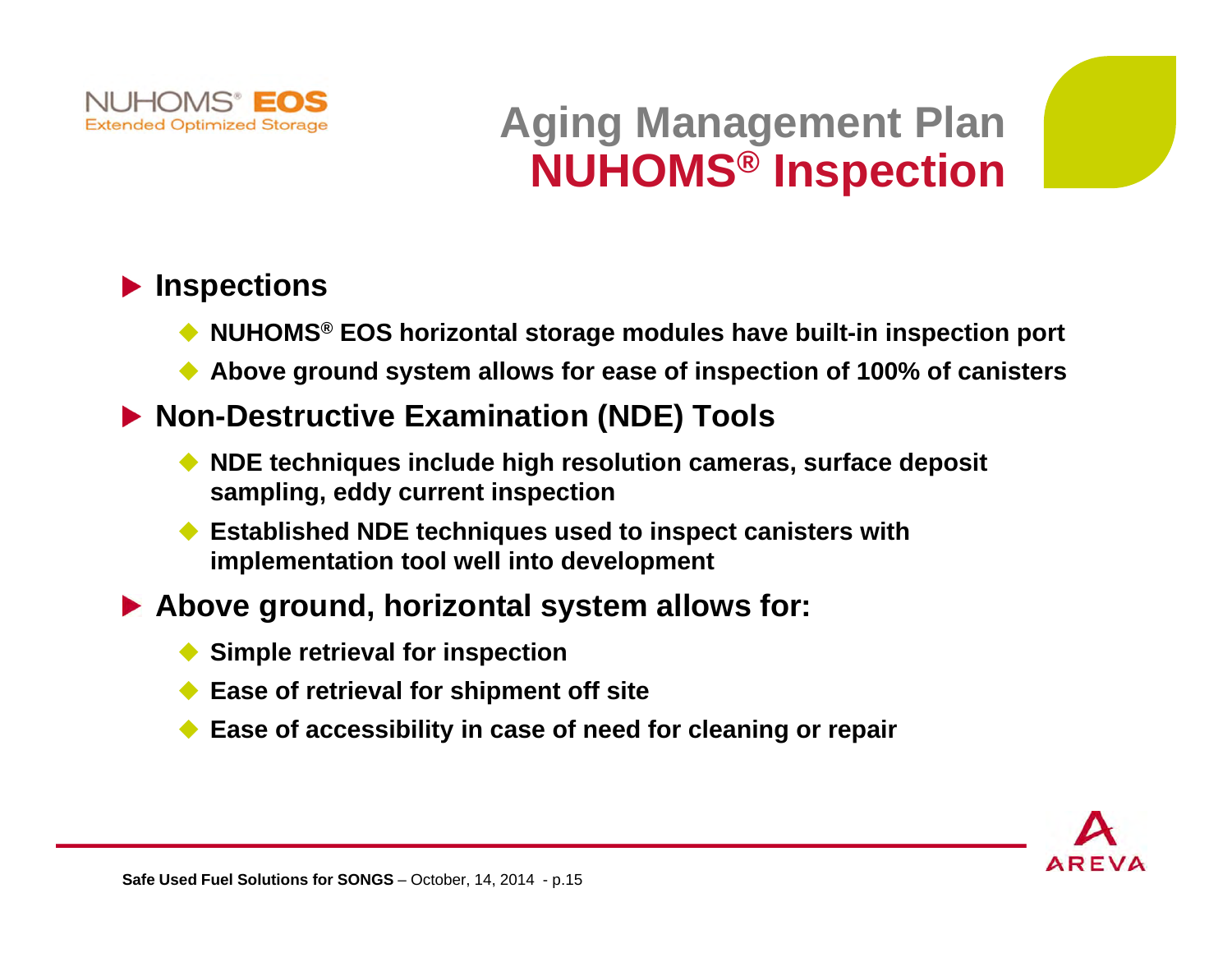

# **Aging Management Plan NUHOMS® Inspection**

### **Inspections**

- ◆ NUHOMS<sup>®</sup> EOS horizontal storage modules have built-in inspection port
- **Above ground system allows for ease of inspection of 100% of canisters**

### **Non-Destructive Examination (NDE) Tools**

- **NDE techniques include high resolution cameras, surface deposit sampling, eddy current inspection**
- ◆ Established NDE techniques used to inspect canisters with **implementation tool well into development**

#### **Above ground, horizontal system allows for:**

- **Simple retrieval for inspection**
- **Ease of retrieval for shipment off site**
- ♦ **Ease of accessibility in case of need for cleaning or repair**

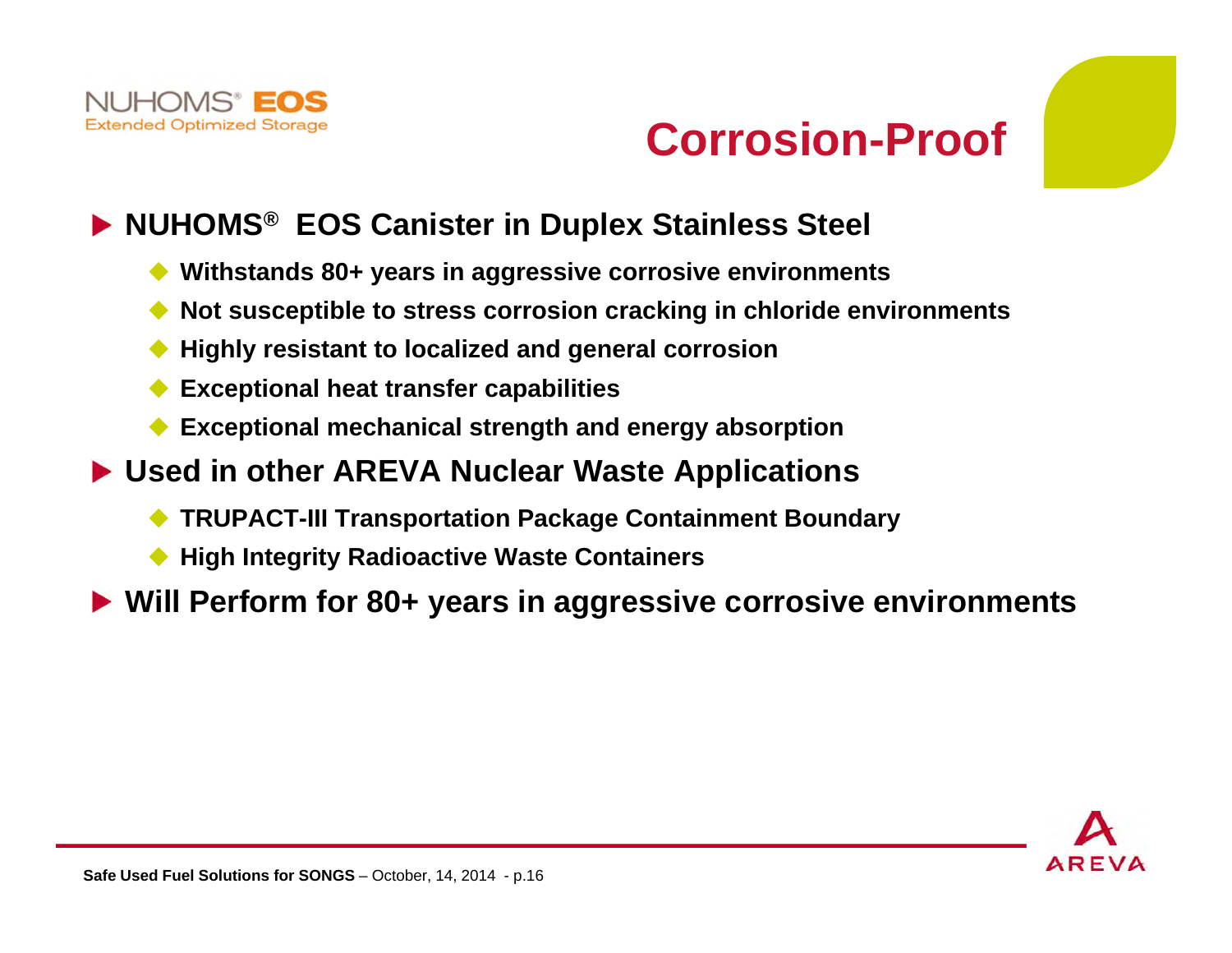



### **NUHOMS® EOS Canister in Duplex Stainless Steel**

- ♦ **Withstands 80+ years in aggressive corrosive environments**
- ♦ **Not susceptible to stress corrosion cracking in chloride environments**
- $\blacklozenge$ **Highly resistant to localized and general corrosion**
- ♦ **Exceptional heat transfer capabilities**
- ♦ **Exceptional mechanical strength and energy absorption**
- **Used in other AREVA Nuclear Waste Applications**
	- ♦ **TRUPACT-III Transportation Package Containment Boundary**
	- ♦ **High Integrity Radioactive Waste Containers**
- **Will Perform for 80+ years in aggressive corrosive environments**

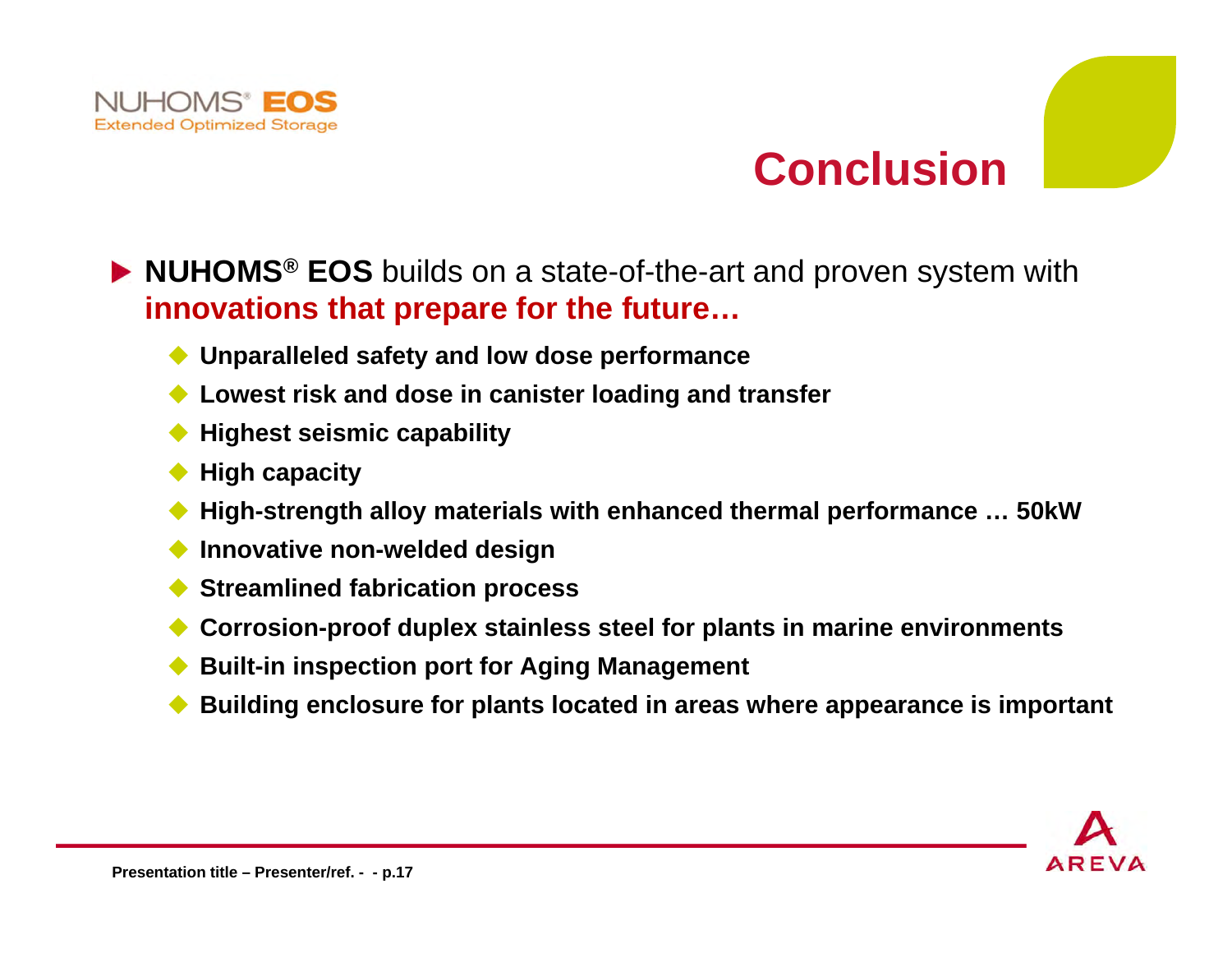



### **NUHOMS® EOS** builds on a state-of-the-art and proven system with **innovations that prepare for the future…**

- **Unparalleled safety and low dose performance**
- **Lowest risk and dose in canister loading and transfer**
- **Highest seismic capability**
- ◆ High capacity
- **High-strength alloy materials with enhanced thermal performance … 50kW**
- **Innovative non-welded design**
- **Streamlined fabrication process**
- ◆ Corrosion-proof duplex stainless steel for plants in marine environments
- $\blacklozenge$ **Built-in inspection port for Aging Management**
- ◆ Building enclosure for plants located in areas where appearance is important

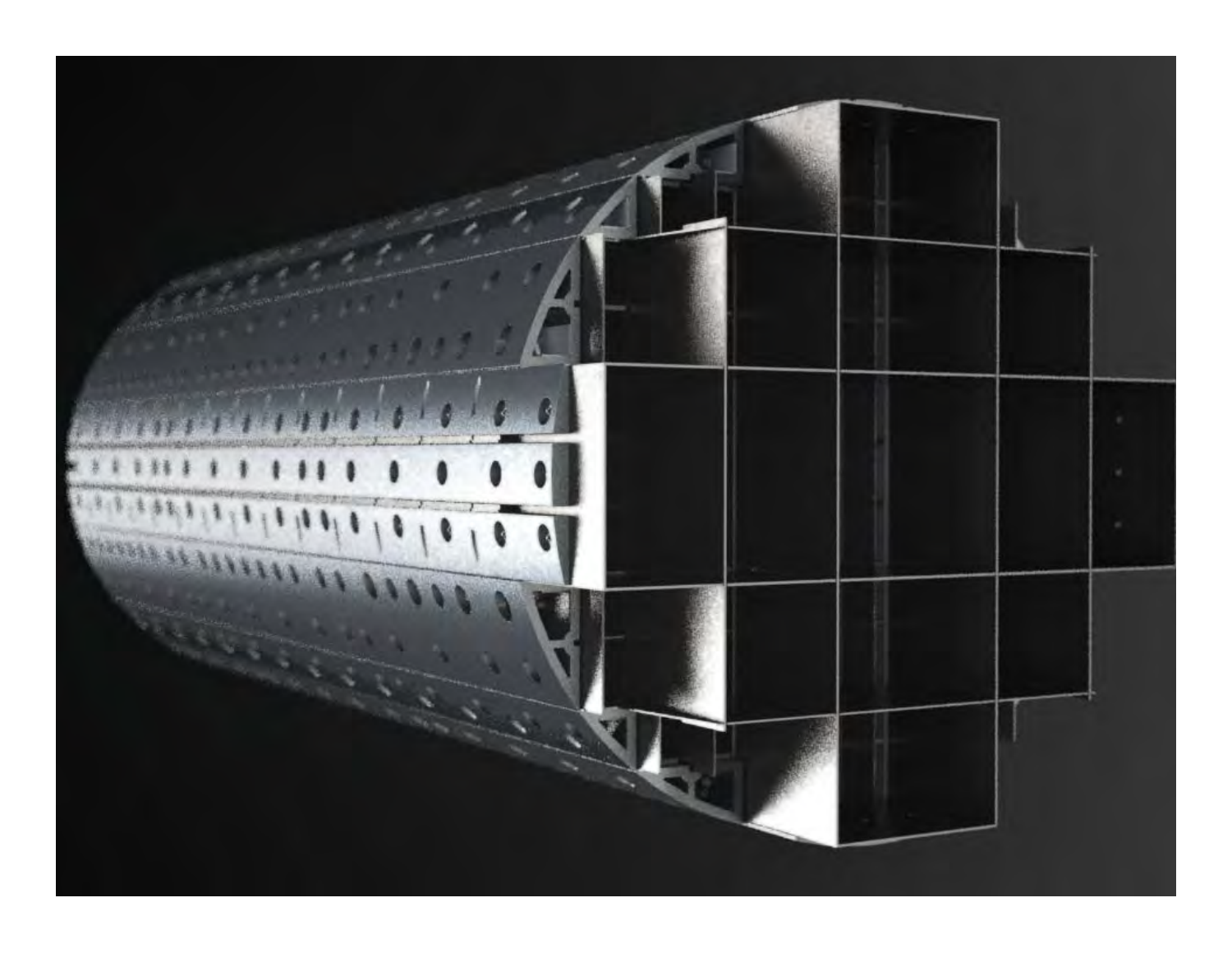